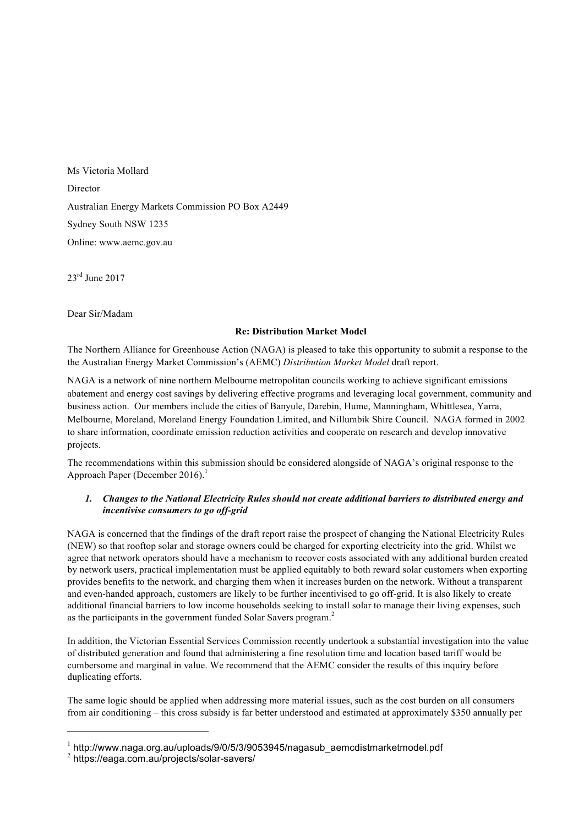Ms Victoria Mollard Director Australian Energy Markets Commission PO Box A2449 Sydney South NSW 1235 Online: www.aemc.gov.au

23<sup>rd</sup> June 2017

Dear Sir/Madam

## **Re: Distribution Market Model**

The Northern Alliance for Greenhouse Action (NAGA) is pleased to take this opportunity to submit a response to the the Australian Energy Market Commission's (AEMC) *Distribution Market Model* draft report.

NAGA is a network of nine northern Melbourne metropolitan councils working to achieve significant emissions abatement and energy cost savings by delivering effective programs and leveraging local government, community and business action. Our members include the cities of Banyule, Darebin, Hume, Manningham, Whittlesea, Yarra, Melbourne, Moreland, Moreland Energy Foundation Limited, and Nillumbik Shire Council. NAGA formed in 2002 to share information, coordinate emission reduction activities and cooperate on research and develop innovative projects.

The recommendations within this submission should be considered alongside of NAGA's original response to the Approach Paper (December 2016).<sup>1</sup>

## *1. Changes to the National Electricity Rules should not create additional barriers to distributed energy and incentivise consumers to go off-grid*

NAGA is concerned that the findings of the draft report raise the prospect of changing the National Electricity Rules (NEW) so that rooftop solar and storage owners could be charged for exporting electricity into the grid. Whilst we agree that network operators should have a mechanism to recover costs associated with any additional burden created by network users, practical implementation must be applied equitably to both reward solar customers when exporting provides benefits to the network, and charging them when it increases burden on the network. Without a transparent and even-handed approach, customers are likely to be further incentivised to go off-grid. It is also likely to create additional financial barriers to low income households seeking to install solar to manage their living expenses, such as the participants in the government funded Solar Savers program.<sup>2</sup>

In addition, the Victorian Essential Services Commission recently undertook a substantial investigation into the value of distributed generation and found that administering a fine resolution time and location based tariff would be cumbersome and marginal in value. We recommend that the AEMC consider the results of this inquiry before duplicating efforts.

The same logic should be applied when addressing more material issues, such as the cost burden on all consumers from air conditioning – this cross subsidy is far better understood and estimated at approximately \$350 annually per

-

<sup>&</sup>lt;sup>1</sup> http://www.naga.org.au/uploads/9/0/5/3/9053945/nagasub\_aemcdistmarketmodel.pdf

<sup>2</sup> https://eaga.com.au/projects/solar-savers/